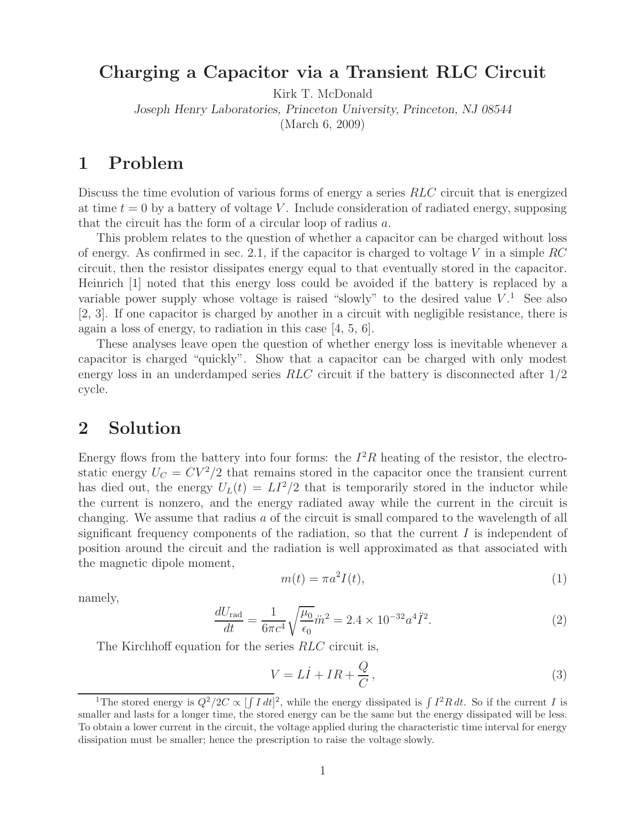### **Charging a Capacitor via a Transient RLC Circuit**

Kirk T. McDonald

*Joseph Henry Laboratories, Princeton University, Princeton, NJ 08544*

(March 6, 2009)

### **1 Problem**

Discuss the time evolution of various forms of energy a series RLC circuit that is energized at time  $t = 0$  by a battery of voltage V. Include consideration of radiated energy, supposing that the circuit has the form of a circular loop of radius a.

This problem relates to the question of whether a capacitor can be charged without loss of energy. As confirmed in sec. 2.1, if the capacitor is charged to voltage V in a simple  $RC$ circuit, then the resistor dissipates energy equal to that eventually stored in the capacitor. Heinrich [1] noted that this energy loss could be avoided if the battery is replaced by a variable power supply whose voltage is raised "slowly" to the desired value  $V<sup>1</sup>$ . See also [2, 3]. If one capacitor is charged by another in a circuit with negligible resistance, there is again a loss of energy, to radiation in this case [4, 5, 6].

These analyses leave open the question of whether energy loss is inevitable whenever a capacitor is charged "quickly". Show that a capacitor can be charged with only modest energy loss in an underdamped series  $RLC$  circuit if the battery is disconnected after  $1/2$ cycle.

#### **2 Solution**

Energy flows from the battery into four forms: the  $I^2R$  heating of the resistor, the electrostatic energy  $U_C = CV^2/2$  that remains stored in the capacitor once the transient current has died out, the energy  $U_L(t) = L^2/2$  that is temporarily stored in the inductor while the current is nonzero, and the energy radiated away while the current in the circuit is changing. We assume that radius a of the circuit is small compared to the wavelength of all significant frequency components of the radiation, so that the current  $I$  is independent of position around the circuit and the radiation is well approximated as that associated with the magnetic dipole moment,

$$
m(t) = \pi a^2 I(t),\tag{1}
$$

namely,

$$
\frac{dU_{\text{rad}}}{dt} = \frac{1}{6\pi c^4} \sqrt{\frac{\mu_0}{\epsilon_0}} \ddot{m}^2 = 2.4 \times 10^{-32} a^4 \ddot{I}^2. \tag{2}
$$

The Kirchhoff equation for the series RLC circuit is,

$$
V = L\dot{I} + IR + \frac{Q}{C},\tag{3}
$$

<sup>&</sup>lt;sup>1</sup>The stored energy is  $Q^2/2C \propto \int \int I dt]^2$ , while the energy dissipated is  $\int I^2R dt$ . So if the current *I* is smaller and lasts for a longer time, the stored energy can be the same but the energy dissipated will be less. To obtain a lower current in the circuit, the voltage applied during the characteristic time interval for energy dissipation must be smaller; hence the prescription to raise the voltage slowly.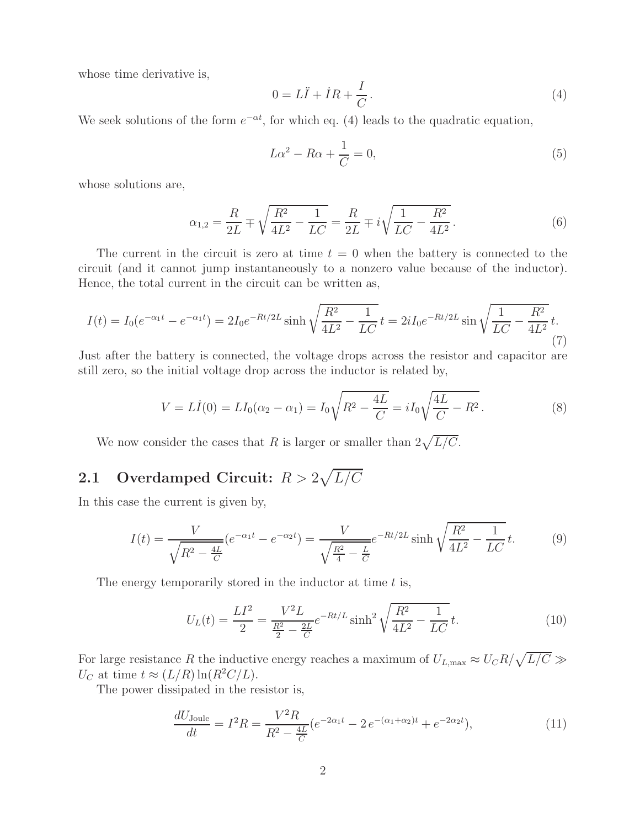whose time derivative is,

$$
0 = L\ddot{I} + \dot{I}R + \frac{I}{C}.
$$
\n<sup>(4)</sup>

We seek solutions of the form  $e^{-\alpha t}$ , for which eq. (4) leads to the quadratic equation,

$$
L\alpha^2 - R\alpha + \frac{1}{C} = 0,\t\t(5)
$$

whose solutions are,

$$
\alpha_{1,2} = \frac{R}{2L} \mp \sqrt{\frac{R^2}{4L^2} - \frac{1}{LC}} = \frac{R}{2L} \mp i\sqrt{\frac{1}{LC} - \frac{R^2}{4L^2}}.
$$
\n(6)

The current in the circuit is zero at time  $t = 0$  when the battery is connected to the circuit (and it cannot jump instantaneously to a nonzero value because of the inductor). Hence, the total current in the circuit can be written as,

$$
I(t) = I_0(e^{-\alpha_1 t} - e^{-\alpha_1 t}) = 2I_0 e^{-Rt/2L} \sinh \sqrt{\frac{R^2}{4L^2} - \frac{1}{LC}} t = 2iI_0 e^{-Rt/2L} \sin \sqrt{\frac{1}{LC} - \frac{R^2}{4L^2}} t.
$$
\n(7)

Just after the battery is connected, the voltage drops across the resistor and capacitor are still zero, so the initial voltage drop across the inductor is related by,

$$
V = L\dot{I}(0) = LI_0(\alpha_2 - \alpha_1) = I_0 \sqrt{R^2 - \frac{4L}{C}} = iI_0 \sqrt{\frac{4L}{C} - R^2}.
$$
 (8)

We now consider the cases that R is larger or smaller than  $2\sqrt{L/C}$ .

# **2.1** Overdamped Circuit:  $R > 2\sqrt{L/C}$

In this case the current is given by,

$$
I(t) = \frac{V}{\sqrt{R^2 - \frac{4L}{C}}} (e^{-\alpha_1 t} - e^{-\alpha_2 t}) = \frac{V}{\sqrt{\frac{R^2}{4} - \frac{L}{C}}} e^{-Rt/2L} \sinh \sqrt{\frac{R^2}{4L^2} - \frac{1}{LC}} t.
$$
 (9)

The energy temporarily stored in the inductor at time  $t$  is,

$$
U_L(t) = \frac{LI^2}{2} = \frac{V^2 L}{\frac{R^2}{2} - \frac{2L}{C}} e^{-Rt/L} \sinh^2 \sqrt{\frac{R^2}{4L^2} - \frac{1}{LC}} t.
$$
 (10)

For large resistance R the inductive energy reaches a maximum of  $U_{L,\text{max}} \approx U_C R / \sqrt{L/C} \gg$  $U_C$  at time  $t \approx (L/R) \ln(R^2 C/L)$ .

The power dissipated in the resistor is,

$$
\frac{dU_{\text{Joule}}}{dt} = I^2 R = \frac{V^2 R}{R^2 - \frac{4L}{C}} (e^{-2\alpha_1 t} - 2e^{-(\alpha_1 + \alpha_2)t} + e^{-2\alpha_2 t}),\tag{11}
$$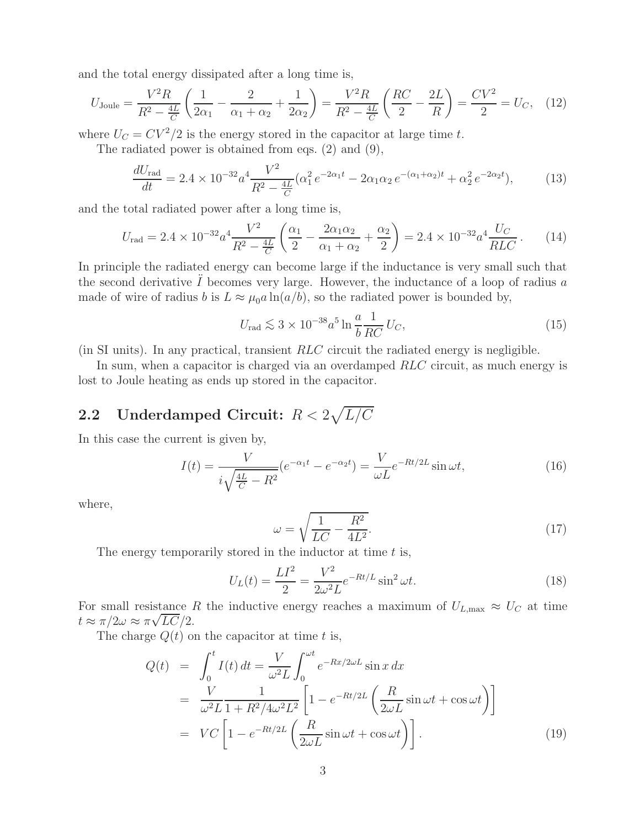and the total energy dissipated after a long time is,

$$
U_{\text{Joule}} = \frac{V^2 R}{R^2 - \frac{4L}{C}} \left( \frac{1}{2\alpha_1} - \frac{2}{\alpha_1 + \alpha_2} + \frac{1}{2\alpha_2} \right) = \frac{V^2 R}{R^2 - \frac{4L}{C}} \left( \frac{RC}{2} - \frac{2L}{R} \right) = \frac{CV^2}{2} = U_C, \quad (12)
$$

where  $U_C = CV^2/2$  is the energy stored in the capacitor at large time t.

The radiated power is obtained from eqs. (2) and (9),

$$
\frac{dU_{\text{rad}}}{dt} = 2.4 \times 10^{-32} a^4 \frac{V^2}{R^2 - \frac{4L}{C}} (\alpha_1^2 e^{-2\alpha_1 t} - 2\alpha_1 \alpha_2 e^{-(\alpha_1 + \alpha_2)t} + \alpha_2^2 e^{-2\alpha_2 t}),\tag{13}
$$

and the total radiated power after a long time is,

$$
U_{\rm rad} = 2.4 \times 10^{-32} a^4 \frac{V^2}{R^2 - \frac{4L}{C}} \left( \frac{\alpha_1}{2} - \frac{2\alpha_1 \alpha_2}{\alpha_1 + \alpha_2} + \frac{\alpha_2}{2} \right) = 2.4 \times 10^{-32} a^4 \frac{U_C}{RLC} \,. \tag{14}
$$

In principle the radiated energy can become large if the inductance is very small such that the second derivative  $\ddot{I}$  becomes very large. However, the inductance of a loop of radius a made of wire of radius b is  $L \approx \mu_0 a \ln(a/b)$ , so the radiated power is bounded by,

$$
U_{\rm rad} \lesssim 3 \times 10^{-38} a^5 \ln \frac{a}{b} \frac{1}{RC} U_C,\tag{15}
$$

(in SI units). In any practical, transient RLC circuit the radiated energy is negligible.

In sum, when a capacitor is charged via an overdamped RLC circuit, as much energy is lost to Joule heating as ends up stored in the capacitor.

## **2.2** Underdamped Circuit:  $R < 2\sqrt{L/C}$

In this case the current is given by,

$$
I(t) = \frac{V}{i\sqrt{\frac{4L}{C} - R^2}}(e^{-\alpha_1 t} - e^{-\alpha_2 t}) = \frac{V}{\omega L}e^{-Rt/2L}\sin \omega t,
$$
\n(16)

where,

$$
\omega = \sqrt{\frac{1}{LC} - \frac{R^2}{4L^2}}.\tag{17}
$$

The energy temporarily stored in the inductor at time  $t$  is,

$$
U_L(t) = \frac{LI^2}{2} = \frac{V^2}{2\omega^2 L} e^{-Rt/L} \sin^2 \omega t.
$$
 (18)

For small resistance R the inductive energy reaches a maximum of  $U_{L,\text{max}} \approx U_C$  at time  $t \approx \pi/2\omega \approx \pi\sqrt{LC}/2.$ 

The charge  $Q(t)$  on the capacitor at time t is,

$$
Q(t) = \int_0^t I(t) dt = \frac{V}{\omega^2 L} \int_0^{\omega t} e^{-Rx/2\omega L} \sin x dx
$$
  
\n
$$
= \frac{V}{\omega^2 L} \frac{1}{1 + R^2/4\omega^2 L^2} \left[ 1 - e^{-Rt/2L} \left( \frac{R}{2\omega L} \sin \omega t + \cos \omega t \right) \right]
$$
  
\n
$$
= VC \left[ 1 - e^{-Rt/2L} \left( \frac{R}{2\omega L} \sin \omega t + \cos \omega t \right) \right].
$$
 (19)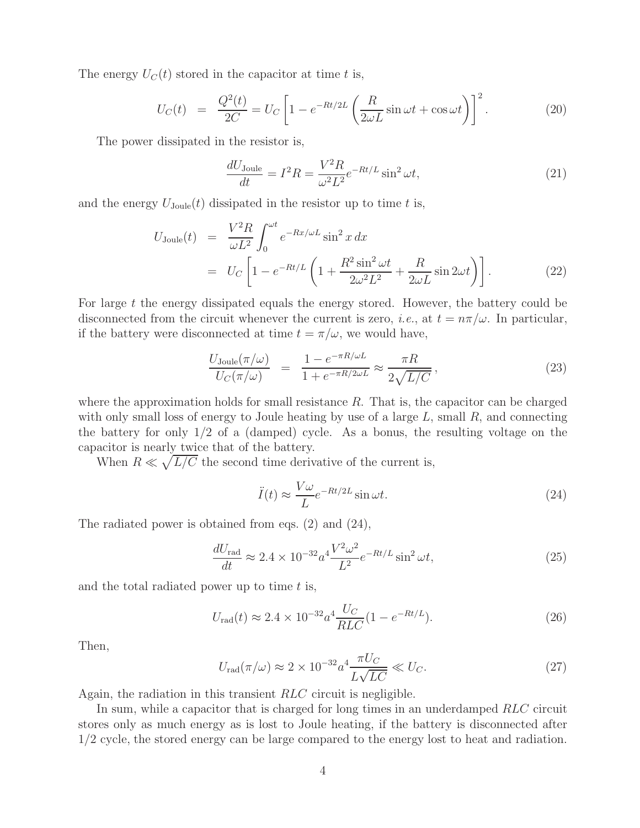The energy  $U_C(t)$  stored in the capacitor at time t is,

$$
U_C(t) = \frac{Q^2(t)}{2C} = U_C \left[ 1 - e^{-Rt/2L} \left( \frac{R}{2\omega L} \sin \omega t + \cos \omega t \right) \right]^2.
$$
 (20)

The power dissipated in the resistor is,

$$
\frac{dU_{\text{Joule}}}{dt} = I^2 R = \frac{V^2 R}{\omega^2 L^2} e^{-Rt/L} \sin^2 \omega t,\tag{21}
$$

and the energy  $U_{\text{Joule}}(t)$  dissipated in the resistor up to time t is,

$$
U_{\text{Joule}}(t) = \frac{V^2 R}{\omega L^2} \int_0^{\omega t} e^{-Rx/\omega L} \sin^2 x \, dx
$$
  
=  $U_C \left[ 1 - e^{-Rt/L} \left( 1 + \frac{R^2 \sin^2 \omega t}{2\omega^2 L^2} + \frac{R}{2\omega L} \sin 2\omega t \right) \right].$  (22)

For large t the energy dissipated equals the energy stored. However, the battery could be disconnected from the circuit whenever the current is zero, *i.e.*, at  $t = n\pi/\omega$ . In particular, if the battery were disconnected at time  $t = \pi/\omega$ , we would have,

$$
\frac{U_{\text{Joule}}(\pi/\omega)}{U_C(\pi/\omega)} = \frac{1 - e^{-\pi R/\omega L}}{1 + e^{-\pi R/2\omega L}} \approx \frac{\pi R}{2\sqrt{L/C}},
$$
\n(23)

where the approximation holds for small resistance  $R$ . That is, the capacitor can be charged with only small loss of energy to Joule heating by use of a large  $L$ , small  $R$ , and connecting the battery for only  $1/2$  of a (damped) cycle. As a bonus, the resulting voltage on the capacitor is nearly twice that of the battery.

When  $R \ll \sqrt{L/C}$  the second time derivative of the current is,

$$
\ddot{I}(t) \approx \frac{V\omega}{L} e^{-Rt/2L} \sin \omega t.
$$
\n(24)

The radiated power is obtained from eqs. (2) and (24),

$$
\frac{dU_{\text{rad}}}{dt} \approx 2.4 \times 10^{-32} a^4 \frac{V^2 \omega^2}{L^2} e^{-Rt/L} \sin^2 \omega t,\tag{25}
$$

and the total radiated power up to time  $t$  is,

$$
U_{\rm rad}(t) \approx 2.4 \times 10^{-32} a^4 \frac{U_C}{RLC} (1 - e^{-Rt/L}). \tag{26}
$$

Then,

$$
U_{\rm rad}(\pi/\omega) \approx 2 \times 10^{-32} a^4 \frac{\pi U_C}{L\sqrt{LC}} \ll U_C.
$$
 (27)

Again, the radiation in this transient RLC circuit is negligible.

In sum, while a capacitor that is charged for long times in an underdamped RLC circuit stores only as much energy as is lost to Joule heating, if the battery is disconnected after 1/2 cycle, the stored energy can be large compared to the energy lost to heat and radiation.